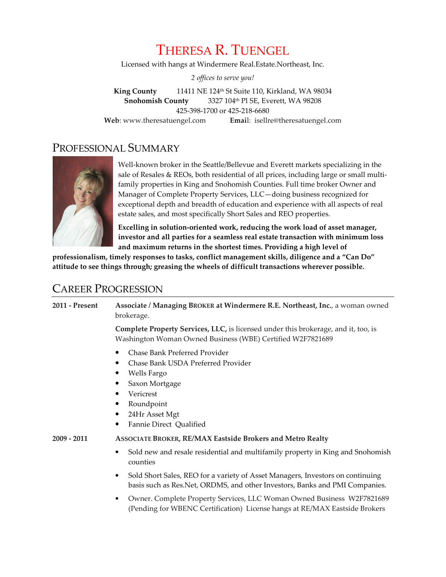# THERESA R. TUENGEL

Licensed with hangs at Windermere Real.Estate.Northeast, Inc.

2 offices to serve you!

King County 11411 NE 124th St Suite 110, Kirkland, WA 98034 Snohomish County 3327 104th Pl SE, Everett, WA 98208 425-398-1700 or 425-218-6680 Web: www.theresatuengel.com Email: isellre@theresatuengel.com

# PROFESSIONAL SUMMARY



Well-known broker in the Seattle/Bellevue and Everett markets specializing in the sale of Resales & REOs, both residential of all prices, including large or small multifamily properties in King and Snohomish Counties. Full time broker Owner and Manager of Complete Property Services, LLC—doing business recognized for exceptional depth and breadth of education and experience with all aspects of real estate sales, and most specifically Short Sales and REO properties.

Excelling in solution-oriented work, reducing the work load of asset manager, investor and all parties for a seamless real estate transaction with minimum loss and maximum returns in the shortest times. Providing a high level of

professionalism, timely responses to tasks, conflict management skills, diligence and a "Can Do" attitude to see things through; greasing the wheels of difficult transactions wherever possible.

# CAREER PROGRESSION

2011 - Present Associate / Managing BROKER at Windermere R.E. Northeast, Inc., a woman owned brokerage.

> Complete Property Services, LLC, is licensed under this brokerage, and it, too, is Washington Woman Owned Business (WBE) Certified W2F7821689

- Chase Bank Preferred Provider
- Chase Bank USDA Preferred Provider
- Wells Fargo
- Saxon Mortgage
- Vericrest
- Roundpoint
- 24Hr Asset Mgt
- Fannie Direct Qualified

#### 2009 - 2011 ASSOCIATE BROKER, RE/MAX Eastside Brokers and Metro Realty

- Sold new and resale residential and multifamily property in King and Snohomish counties
- Sold Short Sales, REO for a variety of Asset Managers, Investors on continuing basis such as Res.Net, ORDMS, and other Investors, Banks and PMI Companies.
- Owner. Complete Property Services, LLC Woman Owned Business W2F7821689 (Pending for WBENC Certification) License hangs at RE/MAX Eastside Brokers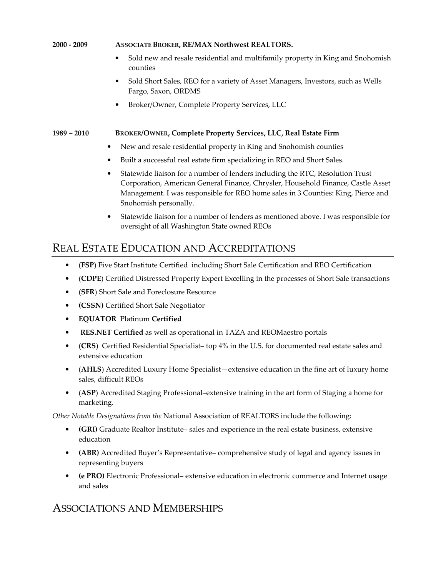#### 2000 - 2009 ASSOCIATE BROKER, RE/MAX Northwest REALTORS.

- Sold new and resale residential and multifamily property in King and Snohomish counties
- Sold Short Sales, REO for a variety of Asset Managers, Investors, such as Wells Fargo, Saxon, ORDMS
- Broker/Owner, Complete Property Services, LLC

#### 1989 – 2010 BROKER/OWNER, Complete Property Services, LLC, Real Estate Firm

- New and resale residential property in King and Snohomish counties
- Built a successful real estate firm specializing in REO and Short Sales.
- Statewide liaison for a number of lenders including the RTC, Resolution Trust Corporation, American General Finance, Chrysler, Household Finance, Castle Asset Management. I was responsible for REO home sales in 3 Counties: King, Pierce and Snohomish personally.
- Statewide liaison for a number of lenders as mentioned above. I was responsible for oversight of all Washington State owned REOs

# REAL ESTATE EDUCATION AND ACCREDITATIONS

- (FSP) Five Start Institute Certified including Short Sale Certification and REO Certification
- (CDPE) Certified Distressed Property Expert Excelling in the processes of Short Sale transactions
- (SFR) Short Sale and Foreclosure Resource
- (CSSN) Certified Short Sale Negotiator
- EQUATOR Platinum Certified
- RES.NET Certified as well as operational in TAZA and REOMaestro portals
- (CRS) Certified Residential Specialist– top 4% in the U.S. for documented real estate sales and extensive education
- (AHLS) Accredited Luxury Home Specialist—extensive education in the fine art of luxury home sales, difficult REOs
- (ASP) Accredited Staging Professional–extensive training in the art form of Staging a home for marketing.

Other Notable Designations from the National Association of REALTORS include the following:

- (GRI) Graduate Realtor Institute– sales and experience in the real estate business, extensive education
- (ABR) Accredited Buyer's Representative– comprehensive study of legal and agency issues in representing buyers
- (e PRO) Electronic Professional– extensive education in electronic commerce and Internet usage and sales

# ASSOCIATIONS AND MEMBERSHIPS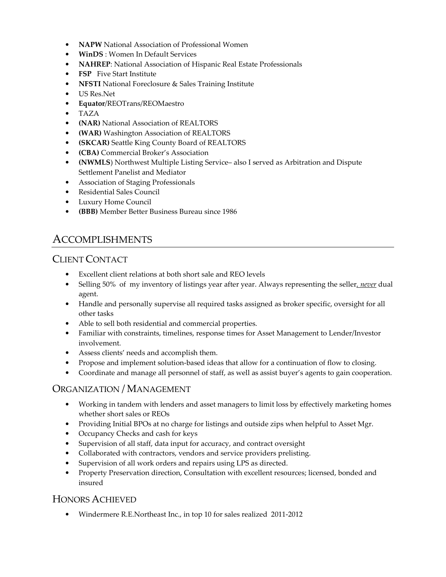- NAPW National Association of Professional Women
- WinDS: Women In Default Services
- NAHREP: National Association of Hispanic Real Estate Professionals
- FSP Five Start Institute
- NFSTI National Foreclosure & Sales Training Institute
- US Res.Net
- Equator/REOTrans/REOMaestro
- TAZA
- (NAR) National Association of REALTORS
- (WAR) Washington Association of REALTORS
- (SKCAR) Seattle King County Board of REALTORS
- (CBA) Commercial Broker's Association
- (NWMLS) Northwest Multiple Listing Service– also I served as Arbitration and Dispute Settlement Panelist and Mediator
- Association of Staging Professionals
- Residential Sales Council
- Luxury Home Council
- (BBB) Member Better Business Bureau since 1986

# ACCOMPLISHMENTS

### CLIENT CONTACT

- Excellent client relations at both short sale and REO levels
- Selling 50% of my inventory of listings year after year. Always representing the seller, never dual agent.
- Handle and personally supervise all required tasks assigned as broker specific, oversight for all other tasks
- Able to sell both residential and commercial properties.
- Familiar with constraints, timelines, response times for Asset Management to Lender/Investor involvement.
- Assess clients' needs and accomplish them.
- Propose and implement solution-based ideas that allow for a continuation of flow to closing.
- Coordinate and manage all personnel of staff, as well as assist buyer's agents to gain cooperation.

### ORGANIZATION / MANAGEMENT

- Working in tandem with lenders and asset managers to limit loss by effectively marketing homes whether short sales or REOs
- Providing Initial BPOs at no charge for listings and outside zips when helpful to Asset Mgr.
- Occupancy Checks and cash for keys
- Supervision of all staff, data input for accuracy, and contract oversight
- Collaborated with contractors, vendors and service providers prelisting.
- Supervision of all work orders and repairs using LPS as directed.
- Property Preservation direction, Consultation with excellent resources; licensed, bonded and insured

### HONORS ACHIEVED

• Windermere R.E.Northeast Inc., in top 10 for sales realized 2011-2012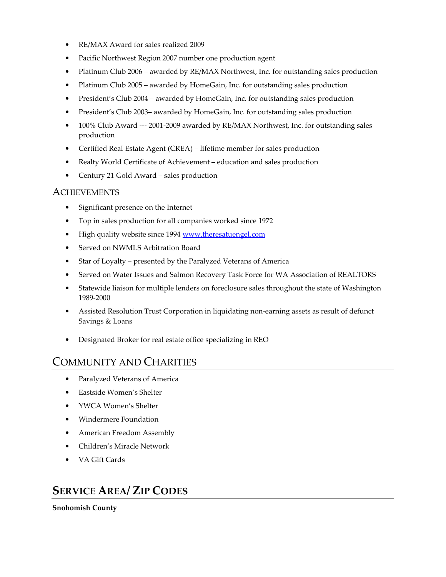- RE/MAX Award for sales realized 2009
- Pacific Northwest Region 2007 number one production agent
- Platinum Club 2006 awarded by RE/MAX Northwest, Inc. for outstanding sales production
- Platinum Club 2005 awarded by HomeGain, Inc. for outstanding sales production
- President's Club 2004 awarded by HomeGain, Inc. for outstanding sales production
- President's Club 2003– awarded by HomeGain, Inc. for outstanding sales production
- 100% Club Award --- 2001-2009 awarded by RE/MAX Northwest, Inc. for outstanding sales production
- Certified Real Estate Agent (CREA) lifetime member for sales production
- Realty World Certificate of Achievement education and sales production
- Century 21 Gold Award sales production

#### **ACHIEVEMENTS**

- Significant presence on the Internet
- Top in sales production for all companies worked since 1972
- High quality website since 1994 www.theresatuengel.com
- Served on NWMLS Arbitration Board
- Star of Loyalty presented by the Paralyzed Veterans of America
- Served on Water Issues and Salmon Recovery Task Force for WA Association of REALTORS
- Statewide liaison for multiple lenders on foreclosure sales throughout the state of Washington 1989-2000
- Assisted Resolution Trust Corporation in liquidating non-earning assets as result of defunct Savings & Loans
- Designated Broker for real estate office specializing in REO

# COMMUNITY AND CHARITIES

- Paralyzed Veterans of America
- Eastside Women's Shelter
- YWCA Women's Shelter
- Windermere Foundation
- American Freedom Assembly
- Children's Miracle Network
- VA Gift Cards

# SERVICE AREA/ ZIP CODES

Snohomish County